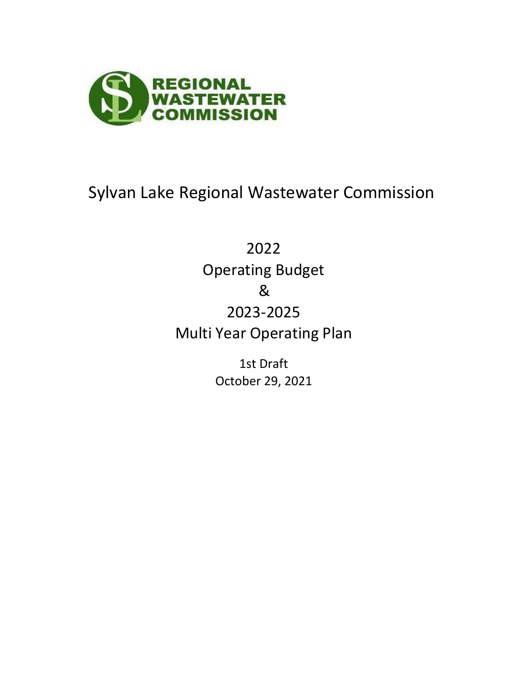

& 2022 Multi Year Operating Plan Operating Budget 2023-2025

> October 29, 2021 1st Draft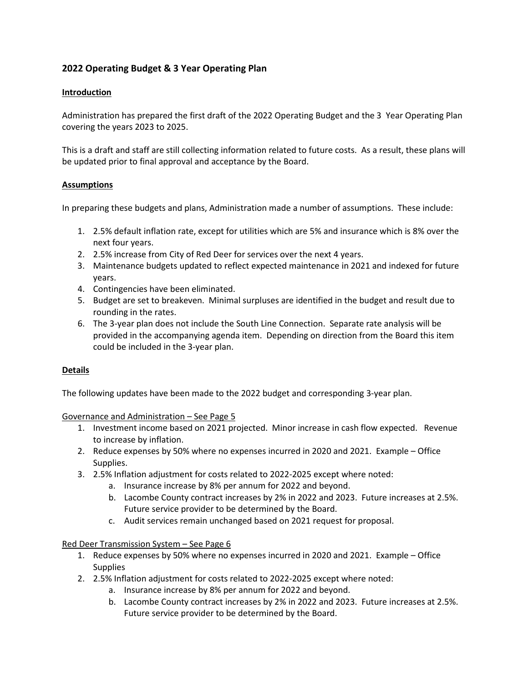# **2022 Operating Budget & 3 Year Operating Plan**

# **Introduction**

Administration has prepared the first draft of the 2022 Operating Budget and the 3 Year Operating Plan covering the years 2023 to 2025.

This is a draft and staff are still collecting information related to future costs. As a result, these plans will be updated prior to final approval and acceptance by the Board.

## **Assumptions**

In preparing these budgets and plans, Administration made a number of assumptions. These include:

- 1. 2.5% default inflation rate, except for utilities which are 5% and insurance which is 8% over the next four years.
- 2. 2.5% increase from City of Red Deer for services over the next 4 years.
- 3. Maintenance budgets updated to reflect expected maintenance in 2021 and indexed for future years.
- 4. Contingencies have been eliminated.
- 5. Budget are set to breakeven. Minimal surpluses are identified in the budget and result due to rounding in the rates.
- 6. The 3-year plan does not include the South Line Connection. Separate rate analysis will be provided in the accompanying agenda item. Depending on direction from the Board this item could be included in the 3-year plan.

# **Details**

The following updates have been made to the 2022 budget and corresponding 3-year plan.

Governance and Administration – See Page 5

- 1. Investment income based on 2021 projected. Minor increase in cash flow expected. Revenue to increase by inflation.
- 2. Reduce expenses by 50% where no expenses incurred in 2020 and 2021. Example Office Supplies.
- 3. 2.5% Inflation adjustment for costs related to 2022-2025 except where noted:
	- a. Insurance increase by 8% per annum for 2022 and beyond.
	- b. Lacombe County contract increases by 2% in 2022 and 2023. Future increases at 2.5%. Future service provider to be determined by the Board.
	- c. Audit services remain unchanged based on 2021 request for proposal.

## Red Deer Transmission System – See Page 6

- 1. Reduce expenses by 50% where no expenses incurred in 2020 and 2021. Example Office **Supplies**
- 2. 2.5% Inflation adjustment for costs related to 2022-2025 except where noted:
	- a. Insurance increase by 8% per annum for 2022 and beyond.
	- b. Lacombe County contract increases by 2% in 2022 and 2023. Future increases at 2.5%. Future service provider to be determined by the Board.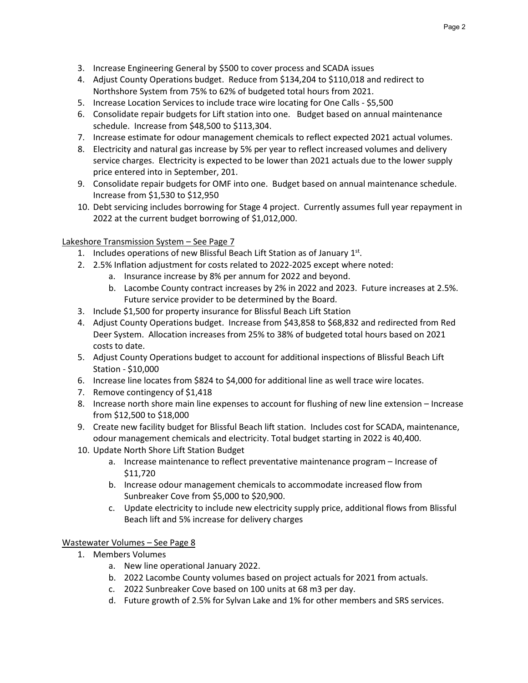- 3. Increase Engineering General by \$500 to cover process and SCADA issues
- 4. Adjust County Operations budget. Reduce from \$134,204 to \$110,018 and redirect to Northshore System from 75% to 62% of budgeted total hours from 2021.
- 5. Increase Location Services to include trace wire locating for One Calls \$5,500
- 6. Consolidate repair budgets for Lift station into one. Budget based on annual maintenance schedule. Increase from \$48,500 to \$113,304.
- 7. Increase estimate for odour management chemicals to reflect expected 2021 actual volumes.
- 8. Electricity and natural gas increase by 5% per year to reflect increased volumes and delivery service charges. Electricity is expected to be lower than 2021 actuals due to the lower supply price entered into in September, 201.
- 9. Consolidate repair budgets for OMF into one. Budget based on annual maintenance schedule. Increase from \$1,530 to \$12,950
- 10. Debt servicing includes borrowing for Stage 4 project. Currently assumes full year repayment in 2022 at the current budget borrowing of \$1,012,000.

# Lakeshore Transmission System – See Page 7

- 1. Includes operations of new Blissful Beach Lift Station as of January  $1<sup>st</sup>$ .
- 2. 2.5% Inflation adjustment for costs related to 2022-2025 except where noted:
	- a. Insurance increase by 8% per annum for 2022 and beyond.
	- b. Lacombe County contract increases by 2% in 2022 and 2023. Future increases at 2.5%. Future service provider to be determined by the Board.
- 3. Include \$1,500 for property insurance for Blissful Beach Lift Station
- 4. Adjust County Operations budget. Increase from \$43,858 to \$68,832 and redirected from Red Deer System. Allocation increases from 25% to 38% of budgeted total hours based on 2021 costs to date.
- 5. Adjust County Operations budget to account for additional inspections of Blissful Beach Lift Station - \$10,000
- 6. Increase line locates from \$824 to \$4,000 for additional line as well trace wire locates.
- 7. Remove contingency of \$1,418
- 8. Increase north shore main line expenses to account for flushing of new line extension Increase from \$12,500 to \$18,000
- 9. Create new facility budget for Blissful Beach lift station. Includes cost for SCADA, maintenance, odour management chemicals and electricity. Total budget starting in 2022 is 40,400.
- 10. Update North Shore Lift Station Budget
	- a. Increase maintenance to reflect preventative maintenance program Increase of \$11,720
	- b. Increase odour management chemicals to accommodate increased flow from Sunbreaker Cove from \$5,000 to \$20,900.
	- c. Update electricity to include new electricity supply price, additional flows from Blissful Beach lift and 5% increase for delivery charges

# Wastewater Volumes – See Page 8

- 1. Members Volumes
	- a. New line operational January 2022.
	- b. 2022 Lacombe County volumes based on project actuals for 2021 from actuals.
	- c. 2022 Sunbreaker Cove based on 100 units at 68 m3 per day.
	- d. Future growth of 2.5% for Sylvan Lake and 1% for other members and SRS services.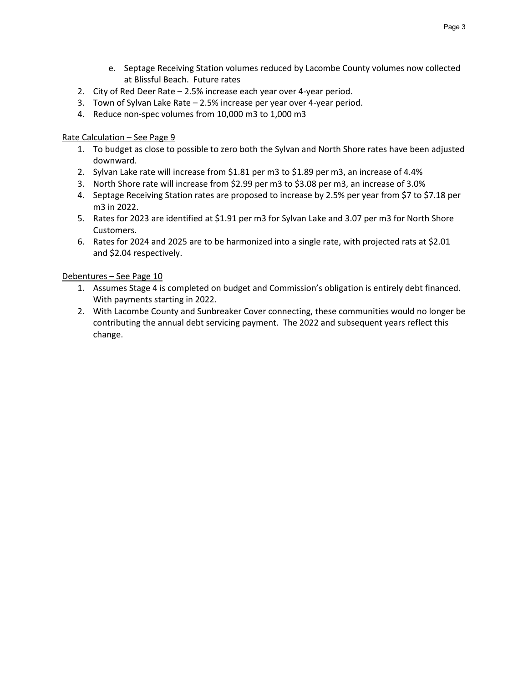- e. Septage Receiving Station volumes reduced by Lacombe County volumes now collected at Blissful Beach. Future rates
- 2. City of Red Deer Rate 2.5% increase each year over 4-year period.
- 3. Town of Sylvan Lake Rate 2.5% increase per year over 4-year period.
- 4. Reduce non-spec volumes from 10,000 m3 to 1,000 m3

## Rate Calculation – See Page 9

- 1. To budget as close to possible to zero both the Sylvan and North Shore rates have been adjusted downward.
- 2. Sylvan Lake rate will increase from \$1.81 per m3 to \$1.89 per m3, an increase of 4.4%
- 3. North Shore rate will increase from \$2.99 per m3 to \$3.08 per m3, an increase of 3.0%
- 4. Septage Receiving Station rates are proposed to increase by 2.5% per year from \$7 to \$7.18 per m3 in 2022.
- 5. Rates for 2023 are identified at \$1.91 per m3 for Sylvan Lake and 3.07 per m3 for North Shore Customers.
- 6. Rates for 2024 and 2025 are to be harmonized into a single rate, with projected rats at \$2.01 and \$2.04 respectively.

## Debentures – See Page 10

- 1. Assumes Stage 4 is completed on budget and Commission's obligation is entirely debt financed. With payments starting in 2022.
- 2. With Lacombe County and Sunbreaker Cover connecting, these communities would no longer be contributing the annual debt servicing payment. The 2022 and subsequent years reflect this change.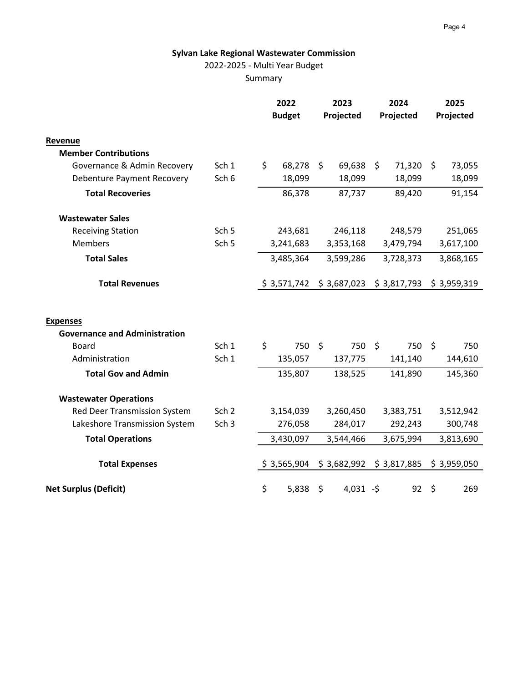# 2022-2025 - Multi Year Budget

Summary

|                                      | 2022<br><b>Budget</b> |    | 2023<br>Projected |         | 2024<br>Projected |             | 2025<br>Projected |           |             |  |  |
|--------------------------------------|-----------------------|----|-------------------|---------|-------------------|-------------|-------------------|-----------|-------------|--|--|
| Revenue                              |                       |    |                   |         |                   |             |                   |           |             |  |  |
| <b>Member Contributions</b>          |                       |    |                   |         |                   |             |                   |           |             |  |  |
| Governance & Admin Recovery          | Sch 1                 | \$ | 68,278            | \$      | 69,638            | \$          | 71,320            | \$        | 73,055      |  |  |
| <b>Debenture Payment Recovery</b>    | Sch 6                 |    | 18,099            |         | 18,099            |             | 18,099            |           | 18,099      |  |  |
| <b>Total Recoveries</b>              |                       |    | 86,378            |         | 87,737            |             | 89,420            |           | 91,154      |  |  |
| <b>Wastewater Sales</b>              |                       |    |                   |         |                   |             |                   |           |             |  |  |
| <b>Receiving Station</b>             | Sch <sub>5</sub>      |    | 243,681           |         | 246,118           |             | 248,579           |           | 251,065     |  |  |
| <b>Members</b>                       | Sch <sub>5</sub>      |    | 3,241,683         |         | 3,353,168         |             | 3,479,794         | 3,617,100 |             |  |  |
| <b>Total Sales</b>                   |                       |    | 3,485,364         |         | 3,599,286         |             | 3,728,373         |           | 3,868,165   |  |  |
| <b>Total Revenues</b>                |                       |    | \$3,571,742       |         | \$3,687,023       | \$3,817,793 |                   |           | \$3,959,319 |  |  |
| <b>Expenses</b>                      |                       |    |                   |         |                   |             |                   |           |             |  |  |
| <b>Governance and Administration</b> |                       |    |                   |         |                   |             |                   |           |             |  |  |
| <b>Board</b>                         | Sch 1                 | \$ | 750               | $\zeta$ | 750               | $\zeta$     | 750               | $\zeta$   | 750         |  |  |
| Administration                       | Sch 1                 |    | 135,057           |         | 137,775           |             | 141,140           |           | 144,610     |  |  |
| <b>Total Gov and Admin</b>           |                       |    | 135,807           |         | 138,525           |             | 141,890           |           | 145,360     |  |  |
| <b>Wastewater Operations</b>         |                       |    |                   |         |                   |             |                   |           |             |  |  |
| <b>Red Deer Transmission System</b>  | Sch <sub>2</sub>      |    | 3,154,039         |         | 3,260,450         |             | 3,383,751         |           | 3,512,942   |  |  |
| Lakeshore Transmission System        | Sch <sub>3</sub>      |    | 276,058           |         | 284,017           |             | 292,243           |           | 300,748     |  |  |
| <b>Total Operations</b>              |                       |    | 3,430,097         |         | 3,544,466         |             | 3,675,994         |           | 3,813,690   |  |  |
| <b>Total Expenses</b>                |                       |    | \$3,565,904       |         | \$3,682,992       |             | \$3,817,885       |           | \$3,959,050 |  |  |
| <b>Net Surplus (Deficit)</b>         |                       | \$ | 5,838             | \$      | $4,031 - $$       |             | 92                | \$        | 269         |  |  |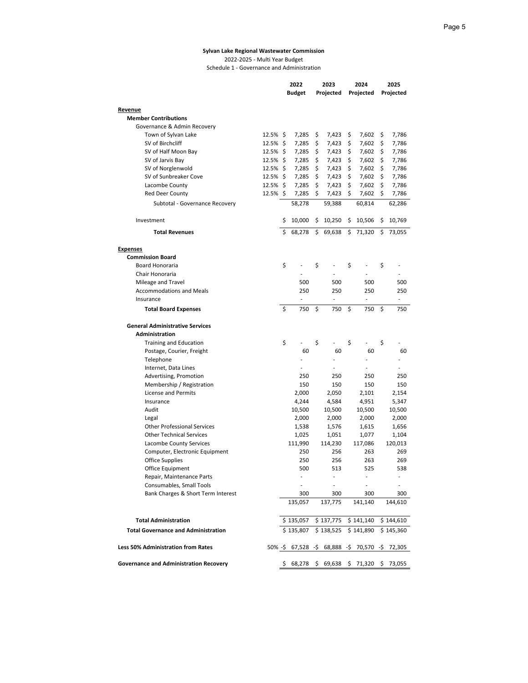#### **Sylvan Lake Regional Wastewater Commission** 2022-2025 - Multi Year Budget

Schedule 1 - Governance and Administration

| <b>Budget</b><br>Projected<br>Projected<br>Projected<br>Revenue<br><b>Member Contributions</b><br>Governance & Admin Recovery<br>12.5% \$<br>Town of Sylvan Lake<br>7,285<br>7,423<br>7,602<br>\$<br>7,786<br>Ş<br>\$.<br>12.5% \$<br>\$<br>\$<br>\$<br>SV of Birchcliff<br>7,285<br>7,423<br>7,602<br>7,786<br>SV of Half Moon Bay<br>12.5% \$<br>7,285<br>\$<br>7,423<br>\$<br>7,602<br>\$<br>7,786<br>\$<br>\$<br>\$<br>\$<br>SV of Jarvis Bay<br>12.5%<br>7,285<br>7,423<br>7,602<br>7,786<br>$12.5\%$ \$<br>7,285<br>\$<br>7,423<br>\$<br>7,602<br>\$<br>SV of Norglenwold<br>7,786<br>SV of Sunbreaker Cove<br>\$<br>\$<br>\$<br>12.5%<br>\$<br>7,285<br>7,423<br>7,602<br>7,786<br>\$<br>12.5%<br>\$<br>\$<br>\$<br>Lacombe County<br>7,285<br>7,423<br>7,602<br>7,786<br>\$<br>12.5% \$<br>7,285<br>\$<br>\$<br><b>Red Deer County</b><br>7,423<br>7,602<br>7,786<br>58,278<br>59,388<br>60,814<br>62,286<br>Subtotal - Governance Recovery<br>Investment<br>\$<br>10,000<br>10,250<br>10,506<br>\$<br>10,769<br>\$<br>\$.<br>Ś<br>68,278<br>\$<br>69,638<br>\$<br>71,320<br>\$<br><b>Total Revenues</b><br>73,055<br><b>Expenses</b><br><b>Commission Board</b><br>\$<br>\$<br>\$<br>\$<br><b>Board Honoraria</b><br>Chair Honoraria<br>500<br>500<br>500<br>Mileage and Travel<br>500<br><b>Accommodations and Meals</b><br>250<br>250<br>250<br>250<br>Insurance<br>$\overline{\phantom{a}}$<br>$\overline{a}$<br>÷,<br>ä,<br>\$<br>\$<br>\$<br>\$<br>750<br><b>Total Board Expenses</b><br>750<br>750<br>750<br><b>General Administrative Services</b><br>Administration<br>\$<br>\$<br>\$<br>\$<br><b>Training and Education</b><br>60<br>60<br>60<br>Postage, Courier, Freight<br>60<br>Telephone<br>Internet, Data Lines<br>Advertising, Promotion<br>250<br>250<br>250<br>250<br>150<br>150<br>Membership / Registration<br>150<br>150<br>License and Permits<br>2,000<br>2,050<br>2,101<br>2,154<br>4,951<br>4,244<br>4,584<br>5,347<br>Insurance<br>Audit<br>10,500<br>10,500<br>10,500<br>10,500<br>2,000<br>2,000<br>2,000<br>2,000<br>Legal<br><b>Other Professional Services</b><br>1,538<br>1,576<br>1,615<br>1,656<br><b>Other Technical Services</b><br>1,051<br>1,077<br>1,025<br>1,104<br>Lacombe County Services<br>111,990<br>114,230<br>117,086<br>120,013<br>Computer, Electronic Equipment<br>250<br>256<br>263<br>269<br><b>Office Supplies</b><br>250<br>256<br>263<br>269<br>525<br>500<br>513<br>538<br>Office Equipment<br>Repair, Maintenance Parts<br>Consumables, Small Tools<br>Bank Charges & Short Term Interest<br>300<br>300<br>300<br>300<br>135,057<br>137,775<br>141,140<br>144,610<br>\$135,057<br>\$137,775<br>\$141,140<br><b>Total Administration</b><br>\$144,610<br>\$135,807<br>\$141,890<br>\$138,525<br>\$145,360<br><b>Total Governance and Administration</b><br>50% -\$ 67,528 -\$ 68,888 -\$ 70,570 -\$ 72,305<br><b>Less 50% Administration from Rates</b><br><b>Governance and Administration Recovery</b><br>$$68,278$$ \$ 69,638 \$ 71,320 \$ 73,055 |  | 2022 | 2023 | 2024 |  |  | 2025 |  |  |
|-----------------------------------------------------------------------------------------------------------------------------------------------------------------------------------------------------------------------------------------------------------------------------------------------------------------------------------------------------------------------------------------------------------------------------------------------------------------------------------------------------------------------------------------------------------------------------------------------------------------------------------------------------------------------------------------------------------------------------------------------------------------------------------------------------------------------------------------------------------------------------------------------------------------------------------------------------------------------------------------------------------------------------------------------------------------------------------------------------------------------------------------------------------------------------------------------------------------------------------------------------------------------------------------------------------------------------------------------------------------------------------------------------------------------------------------------------------------------------------------------------------------------------------------------------------------------------------------------------------------------------------------------------------------------------------------------------------------------------------------------------------------------------------------------------------------------------------------------------------------------------------------------------------------------------------------------------------------------------------------------------------------------------------------------------------------------------------------------------------------------------------------------------------------------------------------------------------------------------------------------------------------------------------------------------------------------------------------------------------------------------------------------------------------------------------------------------------------------------------------------------------------------------------------------------------------------------------------------------------------------------------------------------------------------------------------------------------------------------------------------------------------------------------------------------------------------------------------------------------------------------------------------------------------------------------------------------------------------------------------------------------------------|--|------|------|------|--|--|------|--|--|
|                                                                                                                                                                                                                                                                                                                                                                                                                                                                                                                                                                                                                                                                                                                                                                                                                                                                                                                                                                                                                                                                                                                                                                                                                                                                                                                                                                                                                                                                                                                                                                                                                                                                                                                                                                                                                                                                                                                                                                                                                                                                                                                                                                                                                                                                                                                                                                                                                                                                                                                                                                                                                                                                                                                                                                                                                                                                                                                                                                                                                       |  |      |      |      |  |  |      |  |  |
|                                                                                                                                                                                                                                                                                                                                                                                                                                                                                                                                                                                                                                                                                                                                                                                                                                                                                                                                                                                                                                                                                                                                                                                                                                                                                                                                                                                                                                                                                                                                                                                                                                                                                                                                                                                                                                                                                                                                                                                                                                                                                                                                                                                                                                                                                                                                                                                                                                                                                                                                                                                                                                                                                                                                                                                                                                                                                                                                                                                                                       |  |      |      |      |  |  |      |  |  |
|                                                                                                                                                                                                                                                                                                                                                                                                                                                                                                                                                                                                                                                                                                                                                                                                                                                                                                                                                                                                                                                                                                                                                                                                                                                                                                                                                                                                                                                                                                                                                                                                                                                                                                                                                                                                                                                                                                                                                                                                                                                                                                                                                                                                                                                                                                                                                                                                                                                                                                                                                                                                                                                                                                                                                                                                                                                                                                                                                                                                                       |  |      |      |      |  |  |      |  |  |
|                                                                                                                                                                                                                                                                                                                                                                                                                                                                                                                                                                                                                                                                                                                                                                                                                                                                                                                                                                                                                                                                                                                                                                                                                                                                                                                                                                                                                                                                                                                                                                                                                                                                                                                                                                                                                                                                                                                                                                                                                                                                                                                                                                                                                                                                                                                                                                                                                                                                                                                                                                                                                                                                                                                                                                                                                                                                                                                                                                                                                       |  |      |      |      |  |  |      |  |  |
|                                                                                                                                                                                                                                                                                                                                                                                                                                                                                                                                                                                                                                                                                                                                                                                                                                                                                                                                                                                                                                                                                                                                                                                                                                                                                                                                                                                                                                                                                                                                                                                                                                                                                                                                                                                                                                                                                                                                                                                                                                                                                                                                                                                                                                                                                                                                                                                                                                                                                                                                                                                                                                                                                                                                                                                                                                                                                                                                                                                                                       |  |      |      |      |  |  |      |  |  |
|                                                                                                                                                                                                                                                                                                                                                                                                                                                                                                                                                                                                                                                                                                                                                                                                                                                                                                                                                                                                                                                                                                                                                                                                                                                                                                                                                                                                                                                                                                                                                                                                                                                                                                                                                                                                                                                                                                                                                                                                                                                                                                                                                                                                                                                                                                                                                                                                                                                                                                                                                                                                                                                                                                                                                                                                                                                                                                                                                                                                                       |  |      |      |      |  |  |      |  |  |
|                                                                                                                                                                                                                                                                                                                                                                                                                                                                                                                                                                                                                                                                                                                                                                                                                                                                                                                                                                                                                                                                                                                                                                                                                                                                                                                                                                                                                                                                                                                                                                                                                                                                                                                                                                                                                                                                                                                                                                                                                                                                                                                                                                                                                                                                                                                                                                                                                                                                                                                                                                                                                                                                                                                                                                                                                                                                                                                                                                                                                       |  |      |      |      |  |  |      |  |  |
|                                                                                                                                                                                                                                                                                                                                                                                                                                                                                                                                                                                                                                                                                                                                                                                                                                                                                                                                                                                                                                                                                                                                                                                                                                                                                                                                                                                                                                                                                                                                                                                                                                                                                                                                                                                                                                                                                                                                                                                                                                                                                                                                                                                                                                                                                                                                                                                                                                                                                                                                                                                                                                                                                                                                                                                                                                                                                                                                                                                                                       |  |      |      |      |  |  |      |  |  |
|                                                                                                                                                                                                                                                                                                                                                                                                                                                                                                                                                                                                                                                                                                                                                                                                                                                                                                                                                                                                                                                                                                                                                                                                                                                                                                                                                                                                                                                                                                                                                                                                                                                                                                                                                                                                                                                                                                                                                                                                                                                                                                                                                                                                                                                                                                                                                                                                                                                                                                                                                                                                                                                                                                                                                                                                                                                                                                                                                                                                                       |  |      |      |      |  |  |      |  |  |
|                                                                                                                                                                                                                                                                                                                                                                                                                                                                                                                                                                                                                                                                                                                                                                                                                                                                                                                                                                                                                                                                                                                                                                                                                                                                                                                                                                                                                                                                                                                                                                                                                                                                                                                                                                                                                                                                                                                                                                                                                                                                                                                                                                                                                                                                                                                                                                                                                                                                                                                                                                                                                                                                                                                                                                                                                                                                                                                                                                                                                       |  |      |      |      |  |  |      |  |  |
|                                                                                                                                                                                                                                                                                                                                                                                                                                                                                                                                                                                                                                                                                                                                                                                                                                                                                                                                                                                                                                                                                                                                                                                                                                                                                                                                                                                                                                                                                                                                                                                                                                                                                                                                                                                                                                                                                                                                                                                                                                                                                                                                                                                                                                                                                                                                                                                                                                                                                                                                                                                                                                                                                                                                                                                                                                                                                                                                                                                                                       |  |      |      |      |  |  |      |  |  |
|                                                                                                                                                                                                                                                                                                                                                                                                                                                                                                                                                                                                                                                                                                                                                                                                                                                                                                                                                                                                                                                                                                                                                                                                                                                                                                                                                                                                                                                                                                                                                                                                                                                                                                                                                                                                                                                                                                                                                                                                                                                                                                                                                                                                                                                                                                                                                                                                                                                                                                                                                                                                                                                                                                                                                                                                                                                                                                                                                                                                                       |  |      |      |      |  |  |      |  |  |
|                                                                                                                                                                                                                                                                                                                                                                                                                                                                                                                                                                                                                                                                                                                                                                                                                                                                                                                                                                                                                                                                                                                                                                                                                                                                                                                                                                                                                                                                                                                                                                                                                                                                                                                                                                                                                                                                                                                                                                                                                                                                                                                                                                                                                                                                                                                                                                                                                                                                                                                                                                                                                                                                                                                                                                                                                                                                                                                                                                                                                       |  |      |      |      |  |  |      |  |  |
|                                                                                                                                                                                                                                                                                                                                                                                                                                                                                                                                                                                                                                                                                                                                                                                                                                                                                                                                                                                                                                                                                                                                                                                                                                                                                                                                                                                                                                                                                                                                                                                                                                                                                                                                                                                                                                                                                                                                                                                                                                                                                                                                                                                                                                                                                                                                                                                                                                                                                                                                                                                                                                                                                                                                                                                                                                                                                                                                                                                                                       |  |      |      |      |  |  |      |  |  |
|                                                                                                                                                                                                                                                                                                                                                                                                                                                                                                                                                                                                                                                                                                                                                                                                                                                                                                                                                                                                                                                                                                                                                                                                                                                                                                                                                                                                                                                                                                                                                                                                                                                                                                                                                                                                                                                                                                                                                                                                                                                                                                                                                                                                                                                                                                                                                                                                                                                                                                                                                                                                                                                                                                                                                                                                                                                                                                                                                                                                                       |  |      |      |      |  |  |      |  |  |
|                                                                                                                                                                                                                                                                                                                                                                                                                                                                                                                                                                                                                                                                                                                                                                                                                                                                                                                                                                                                                                                                                                                                                                                                                                                                                                                                                                                                                                                                                                                                                                                                                                                                                                                                                                                                                                                                                                                                                                                                                                                                                                                                                                                                                                                                                                                                                                                                                                                                                                                                                                                                                                                                                                                                                                                                                                                                                                                                                                                                                       |  |      |      |      |  |  |      |  |  |
|                                                                                                                                                                                                                                                                                                                                                                                                                                                                                                                                                                                                                                                                                                                                                                                                                                                                                                                                                                                                                                                                                                                                                                                                                                                                                                                                                                                                                                                                                                                                                                                                                                                                                                                                                                                                                                                                                                                                                                                                                                                                                                                                                                                                                                                                                                                                                                                                                                                                                                                                                                                                                                                                                                                                                                                                                                                                                                                                                                                                                       |  |      |      |      |  |  |      |  |  |
|                                                                                                                                                                                                                                                                                                                                                                                                                                                                                                                                                                                                                                                                                                                                                                                                                                                                                                                                                                                                                                                                                                                                                                                                                                                                                                                                                                                                                                                                                                                                                                                                                                                                                                                                                                                                                                                                                                                                                                                                                                                                                                                                                                                                                                                                                                                                                                                                                                                                                                                                                                                                                                                                                                                                                                                                                                                                                                                                                                                                                       |  |      |      |      |  |  |      |  |  |
|                                                                                                                                                                                                                                                                                                                                                                                                                                                                                                                                                                                                                                                                                                                                                                                                                                                                                                                                                                                                                                                                                                                                                                                                                                                                                                                                                                                                                                                                                                                                                                                                                                                                                                                                                                                                                                                                                                                                                                                                                                                                                                                                                                                                                                                                                                                                                                                                                                                                                                                                                                                                                                                                                                                                                                                                                                                                                                                                                                                                                       |  |      |      |      |  |  |      |  |  |
|                                                                                                                                                                                                                                                                                                                                                                                                                                                                                                                                                                                                                                                                                                                                                                                                                                                                                                                                                                                                                                                                                                                                                                                                                                                                                                                                                                                                                                                                                                                                                                                                                                                                                                                                                                                                                                                                                                                                                                                                                                                                                                                                                                                                                                                                                                                                                                                                                                                                                                                                                                                                                                                                                                                                                                                                                                                                                                                                                                                                                       |  |      |      |      |  |  |      |  |  |
|                                                                                                                                                                                                                                                                                                                                                                                                                                                                                                                                                                                                                                                                                                                                                                                                                                                                                                                                                                                                                                                                                                                                                                                                                                                                                                                                                                                                                                                                                                                                                                                                                                                                                                                                                                                                                                                                                                                                                                                                                                                                                                                                                                                                                                                                                                                                                                                                                                                                                                                                                                                                                                                                                                                                                                                                                                                                                                                                                                                                                       |  |      |      |      |  |  |      |  |  |
|                                                                                                                                                                                                                                                                                                                                                                                                                                                                                                                                                                                                                                                                                                                                                                                                                                                                                                                                                                                                                                                                                                                                                                                                                                                                                                                                                                                                                                                                                                                                                                                                                                                                                                                                                                                                                                                                                                                                                                                                                                                                                                                                                                                                                                                                                                                                                                                                                                                                                                                                                                                                                                                                                                                                                                                                                                                                                                                                                                                                                       |  |      |      |      |  |  |      |  |  |
|                                                                                                                                                                                                                                                                                                                                                                                                                                                                                                                                                                                                                                                                                                                                                                                                                                                                                                                                                                                                                                                                                                                                                                                                                                                                                                                                                                                                                                                                                                                                                                                                                                                                                                                                                                                                                                                                                                                                                                                                                                                                                                                                                                                                                                                                                                                                                                                                                                                                                                                                                                                                                                                                                                                                                                                                                                                                                                                                                                                                                       |  |      |      |      |  |  |      |  |  |
|                                                                                                                                                                                                                                                                                                                                                                                                                                                                                                                                                                                                                                                                                                                                                                                                                                                                                                                                                                                                                                                                                                                                                                                                                                                                                                                                                                                                                                                                                                                                                                                                                                                                                                                                                                                                                                                                                                                                                                                                                                                                                                                                                                                                                                                                                                                                                                                                                                                                                                                                                                                                                                                                                                                                                                                                                                                                                                                                                                                                                       |  |      |      |      |  |  |      |  |  |
|                                                                                                                                                                                                                                                                                                                                                                                                                                                                                                                                                                                                                                                                                                                                                                                                                                                                                                                                                                                                                                                                                                                                                                                                                                                                                                                                                                                                                                                                                                                                                                                                                                                                                                                                                                                                                                                                                                                                                                                                                                                                                                                                                                                                                                                                                                                                                                                                                                                                                                                                                                                                                                                                                                                                                                                                                                                                                                                                                                                                                       |  |      |      |      |  |  |      |  |  |
|                                                                                                                                                                                                                                                                                                                                                                                                                                                                                                                                                                                                                                                                                                                                                                                                                                                                                                                                                                                                                                                                                                                                                                                                                                                                                                                                                                                                                                                                                                                                                                                                                                                                                                                                                                                                                                                                                                                                                                                                                                                                                                                                                                                                                                                                                                                                                                                                                                                                                                                                                                                                                                                                                                                                                                                                                                                                                                                                                                                                                       |  |      |      |      |  |  |      |  |  |
|                                                                                                                                                                                                                                                                                                                                                                                                                                                                                                                                                                                                                                                                                                                                                                                                                                                                                                                                                                                                                                                                                                                                                                                                                                                                                                                                                                                                                                                                                                                                                                                                                                                                                                                                                                                                                                                                                                                                                                                                                                                                                                                                                                                                                                                                                                                                                                                                                                                                                                                                                                                                                                                                                                                                                                                                                                                                                                                                                                                                                       |  |      |      |      |  |  |      |  |  |
|                                                                                                                                                                                                                                                                                                                                                                                                                                                                                                                                                                                                                                                                                                                                                                                                                                                                                                                                                                                                                                                                                                                                                                                                                                                                                                                                                                                                                                                                                                                                                                                                                                                                                                                                                                                                                                                                                                                                                                                                                                                                                                                                                                                                                                                                                                                                                                                                                                                                                                                                                                                                                                                                                                                                                                                                                                                                                                                                                                                                                       |  |      |      |      |  |  |      |  |  |
|                                                                                                                                                                                                                                                                                                                                                                                                                                                                                                                                                                                                                                                                                                                                                                                                                                                                                                                                                                                                                                                                                                                                                                                                                                                                                                                                                                                                                                                                                                                                                                                                                                                                                                                                                                                                                                                                                                                                                                                                                                                                                                                                                                                                                                                                                                                                                                                                                                                                                                                                                                                                                                                                                                                                                                                                                                                                                                                                                                                                                       |  |      |      |      |  |  |      |  |  |
|                                                                                                                                                                                                                                                                                                                                                                                                                                                                                                                                                                                                                                                                                                                                                                                                                                                                                                                                                                                                                                                                                                                                                                                                                                                                                                                                                                                                                                                                                                                                                                                                                                                                                                                                                                                                                                                                                                                                                                                                                                                                                                                                                                                                                                                                                                                                                                                                                                                                                                                                                                                                                                                                                                                                                                                                                                                                                                                                                                                                                       |  |      |      |      |  |  |      |  |  |
|                                                                                                                                                                                                                                                                                                                                                                                                                                                                                                                                                                                                                                                                                                                                                                                                                                                                                                                                                                                                                                                                                                                                                                                                                                                                                                                                                                                                                                                                                                                                                                                                                                                                                                                                                                                                                                                                                                                                                                                                                                                                                                                                                                                                                                                                                                                                                                                                                                                                                                                                                                                                                                                                                                                                                                                                                                                                                                                                                                                                                       |  |      |      |      |  |  |      |  |  |
|                                                                                                                                                                                                                                                                                                                                                                                                                                                                                                                                                                                                                                                                                                                                                                                                                                                                                                                                                                                                                                                                                                                                                                                                                                                                                                                                                                                                                                                                                                                                                                                                                                                                                                                                                                                                                                                                                                                                                                                                                                                                                                                                                                                                                                                                                                                                                                                                                                                                                                                                                                                                                                                                                                                                                                                                                                                                                                                                                                                                                       |  |      |      |      |  |  |      |  |  |
|                                                                                                                                                                                                                                                                                                                                                                                                                                                                                                                                                                                                                                                                                                                                                                                                                                                                                                                                                                                                                                                                                                                                                                                                                                                                                                                                                                                                                                                                                                                                                                                                                                                                                                                                                                                                                                                                                                                                                                                                                                                                                                                                                                                                                                                                                                                                                                                                                                                                                                                                                                                                                                                                                                                                                                                                                                                                                                                                                                                                                       |  |      |      |      |  |  |      |  |  |
|                                                                                                                                                                                                                                                                                                                                                                                                                                                                                                                                                                                                                                                                                                                                                                                                                                                                                                                                                                                                                                                                                                                                                                                                                                                                                                                                                                                                                                                                                                                                                                                                                                                                                                                                                                                                                                                                                                                                                                                                                                                                                                                                                                                                                                                                                                                                                                                                                                                                                                                                                                                                                                                                                                                                                                                                                                                                                                                                                                                                                       |  |      |      |      |  |  |      |  |  |
|                                                                                                                                                                                                                                                                                                                                                                                                                                                                                                                                                                                                                                                                                                                                                                                                                                                                                                                                                                                                                                                                                                                                                                                                                                                                                                                                                                                                                                                                                                                                                                                                                                                                                                                                                                                                                                                                                                                                                                                                                                                                                                                                                                                                                                                                                                                                                                                                                                                                                                                                                                                                                                                                                                                                                                                                                                                                                                                                                                                                                       |  |      |      |      |  |  |      |  |  |
|                                                                                                                                                                                                                                                                                                                                                                                                                                                                                                                                                                                                                                                                                                                                                                                                                                                                                                                                                                                                                                                                                                                                                                                                                                                                                                                                                                                                                                                                                                                                                                                                                                                                                                                                                                                                                                                                                                                                                                                                                                                                                                                                                                                                                                                                                                                                                                                                                                                                                                                                                                                                                                                                                                                                                                                                                                                                                                                                                                                                                       |  |      |      |      |  |  |      |  |  |
|                                                                                                                                                                                                                                                                                                                                                                                                                                                                                                                                                                                                                                                                                                                                                                                                                                                                                                                                                                                                                                                                                                                                                                                                                                                                                                                                                                                                                                                                                                                                                                                                                                                                                                                                                                                                                                                                                                                                                                                                                                                                                                                                                                                                                                                                                                                                                                                                                                                                                                                                                                                                                                                                                                                                                                                                                                                                                                                                                                                                                       |  |      |      |      |  |  |      |  |  |
|                                                                                                                                                                                                                                                                                                                                                                                                                                                                                                                                                                                                                                                                                                                                                                                                                                                                                                                                                                                                                                                                                                                                                                                                                                                                                                                                                                                                                                                                                                                                                                                                                                                                                                                                                                                                                                                                                                                                                                                                                                                                                                                                                                                                                                                                                                                                                                                                                                                                                                                                                                                                                                                                                                                                                                                                                                                                                                                                                                                                                       |  |      |      |      |  |  |      |  |  |
|                                                                                                                                                                                                                                                                                                                                                                                                                                                                                                                                                                                                                                                                                                                                                                                                                                                                                                                                                                                                                                                                                                                                                                                                                                                                                                                                                                                                                                                                                                                                                                                                                                                                                                                                                                                                                                                                                                                                                                                                                                                                                                                                                                                                                                                                                                                                                                                                                                                                                                                                                                                                                                                                                                                                                                                                                                                                                                                                                                                                                       |  |      |      |      |  |  |      |  |  |
|                                                                                                                                                                                                                                                                                                                                                                                                                                                                                                                                                                                                                                                                                                                                                                                                                                                                                                                                                                                                                                                                                                                                                                                                                                                                                                                                                                                                                                                                                                                                                                                                                                                                                                                                                                                                                                                                                                                                                                                                                                                                                                                                                                                                                                                                                                                                                                                                                                                                                                                                                                                                                                                                                                                                                                                                                                                                                                                                                                                                                       |  |      |      |      |  |  |      |  |  |
|                                                                                                                                                                                                                                                                                                                                                                                                                                                                                                                                                                                                                                                                                                                                                                                                                                                                                                                                                                                                                                                                                                                                                                                                                                                                                                                                                                                                                                                                                                                                                                                                                                                                                                                                                                                                                                                                                                                                                                                                                                                                                                                                                                                                                                                                                                                                                                                                                                                                                                                                                                                                                                                                                                                                                                                                                                                                                                                                                                                                                       |  |      |      |      |  |  |      |  |  |
|                                                                                                                                                                                                                                                                                                                                                                                                                                                                                                                                                                                                                                                                                                                                                                                                                                                                                                                                                                                                                                                                                                                                                                                                                                                                                                                                                                                                                                                                                                                                                                                                                                                                                                                                                                                                                                                                                                                                                                                                                                                                                                                                                                                                                                                                                                                                                                                                                                                                                                                                                                                                                                                                                                                                                                                                                                                                                                                                                                                                                       |  |      |      |      |  |  |      |  |  |
|                                                                                                                                                                                                                                                                                                                                                                                                                                                                                                                                                                                                                                                                                                                                                                                                                                                                                                                                                                                                                                                                                                                                                                                                                                                                                                                                                                                                                                                                                                                                                                                                                                                                                                                                                                                                                                                                                                                                                                                                                                                                                                                                                                                                                                                                                                                                                                                                                                                                                                                                                                                                                                                                                                                                                                                                                                                                                                                                                                                                                       |  |      |      |      |  |  |      |  |  |
|                                                                                                                                                                                                                                                                                                                                                                                                                                                                                                                                                                                                                                                                                                                                                                                                                                                                                                                                                                                                                                                                                                                                                                                                                                                                                                                                                                                                                                                                                                                                                                                                                                                                                                                                                                                                                                                                                                                                                                                                                                                                                                                                                                                                                                                                                                                                                                                                                                                                                                                                                                                                                                                                                                                                                                                                                                                                                                                                                                                                                       |  |      |      |      |  |  |      |  |  |
|                                                                                                                                                                                                                                                                                                                                                                                                                                                                                                                                                                                                                                                                                                                                                                                                                                                                                                                                                                                                                                                                                                                                                                                                                                                                                                                                                                                                                                                                                                                                                                                                                                                                                                                                                                                                                                                                                                                                                                                                                                                                                                                                                                                                                                                                                                                                                                                                                                                                                                                                                                                                                                                                                                                                                                                                                                                                                                                                                                                                                       |  |      |      |      |  |  |      |  |  |
|                                                                                                                                                                                                                                                                                                                                                                                                                                                                                                                                                                                                                                                                                                                                                                                                                                                                                                                                                                                                                                                                                                                                                                                                                                                                                                                                                                                                                                                                                                                                                                                                                                                                                                                                                                                                                                                                                                                                                                                                                                                                                                                                                                                                                                                                                                                                                                                                                                                                                                                                                                                                                                                                                                                                                                                                                                                                                                                                                                                                                       |  |      |      |      |  |  |      |  |  |
|                                                                                                                                                                                                                                                                                                                                                                                                                                                                                                                                                                                                                                                                                                                                                                                                                                                                                                                                                                                                                                                                                                                                                                                                                                                                                                                                                                                                                                                                                                                                                                                                                                                                                                                                                                                                                                                                                                                                                                                                                                                                                                                                                                                                                                                                                                                                                                                                                                                                                                                                                                                                                                                                                                                                                                                                                                                                                                                                                                                                                       |  |      |      |      |  |  |      |  |  |
|                                                                                                                                                                                                                                                                                                                                                                                                                                                                                                                                                                                                                                                                                                                                                                                                                                                                                                                                                                                                                                                                                                                                                                                                                                                                                                                                                                                                                                                                                                                                                                                                                                                                                                                                                                                                                                                                                                                                                                                                                                                                                                                                                                                                                                                                                                                                                                                                                                                                                                                                                                                                                                                                                                                                                                                                                                                                                                                                                                                                                       |  |      |      |      |  |  |      |  |  |
|                                                                                                                                                                                                                                                                                                                                                                                                                                                                                                                                                                                                                                                                                                                                                                                                                                                                                                                                                                                                                                                                                                                                                                                                                                                                                                                                                                                                                                                                                                                                                                                                                                                                                                                                                                                                                                                                                                                                                                                                                                                                                                                                                                                                                                                                                                                                                                                                                                                                                                                                                                                                                                                                                                                                                                                                                                                                                                                                                                                                                       |  |      |      |      |  |  |      |  |  |
|                                                                                                                                                                                                                                                                                                                                                                                                                                                                                                                                                                                                                                                                                                                                                                                                                                                                                                                                                                                                                                                                                                                                                                                                                                                                                                                                                                                                                                                                                                                                                                                                                                                                                                                                                                                                                                                                                                                                                                                                                                                                                                                                                                                                                                                                                                                                                                                                                                                                                                                                                                                                                                                                                                                                                                                                                                                                                                                                                                                                                       |  |      |      |      |  |  |      |  |  |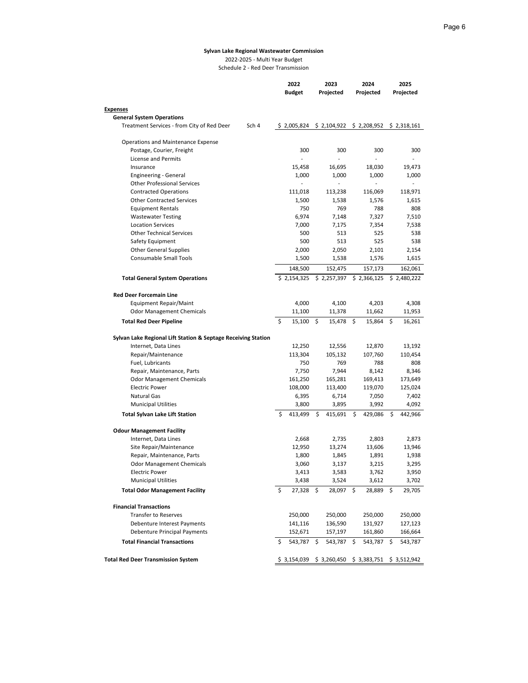2022-2025 - Multi Year Budget

Schedule 2 - Red Deer Transmission

|                                                               |    | 2022            | 2023            | 2024            | 2025            |  |  |  |
|---------------------------------------------------------------|----|-----------------|-----------------|-----------------|-----------------|--|--|--|
|                                                               |    | <b>Budget</b>   | Projected       | Projected       | Projected       |  |  |  |
|                                                               |    |                 |                 |                 |                 |  |  |  |
| <b>Expenses</b><br><b>General System Operations</b>           |    |                 |                 |                 |                 |  |  |  |
| Treatment Services - from City of Red Deer<br>Sch 4           |    | \$2.005.824     | \$2,104,922     | \$2,208,952     | \$2,318,161     |  |  |  |
|                                                               |    |                 |                 |                 |                 |  |  |  |
| Operations and Maintenance Expense                            |    |                 |                 |                 |                 |  |  |  |
| Postage, Courier, Freight                                     |    | 300             | 300             | 300             | 300             |  |  |  |
| License and Permits                                           |    | $\overline{a}$  | L.              |                 |                 |  |  |  |
| Insurance                                                     |    | 15,458          | 16,695          | 18,030          | 19,473          |  |  |  |
| Engineering - General                                         |    | 1,000           | 1,000           | 1,000           | 1,000           |  |  |  |
| <b>Other Professional Services</b>                            |    |                 |                 |                 |                 |  |  |  |
| <b>Contracted Operations</b>                                  |    | 111,018         | 113,238         | 116,069         | 118,971         |  |  |  |
| <b>Other Contracted Services</b>                              |    | 1,500           | 1,538           | 1,576           | 1,615           |  |  |  |
| <b>Equipment Rentals</b>                                      |    | 750             | 769             | 788             | 808             |  |  |  |
| <b>Wastewater Testing</b>                                     |    | 6,974           | 7,148           | 7,327           | 7,510           |  |  |  |
| <b>Location Services</b>                                      |    | 7,000           | 7,175           | 7,354           | 7,538           |  |  |  |
| <b>Other Technical Services</b>                               |    | 500             | 513             | 525             | 538             |  |  |  |
| Safety Equipment                                              |    | 500             | 513             | 525             | 538             |  |  |  |
| <b>Other General Supplies</b>                                 |    | 2,000           | 2,050           | 2,101           | 2,154           |  |  |  |
| <b>Consumable Small Tools</b>                                 |    | 1,500           | 1,538           | 1,576           | 1,615           |  |  |  |
|                                                               |    | 148,500         | 152,475         | 157,173         | 162,061         |  |  |  |
| <b>Total General System Operations</b>                        |    | \$2,154,325     | \$2,257,397     | \$2,366,125     | \$2,480,222     |  |  |  |
| <b>Red Deer Forcemain Line</b>                                |    |                 |                 |                 |                 |  |  |  |
|                                                               |    | 4,000           | 4,100           | 4,203           | 4,308           |  |  |  |
| Equipment Repair/Maint<br><b>Odor Management Chemicals</b>    |    | 11,100          | 11,378          | 11,662          | 11,953          |  |  |  |
| <b>Total Red Deer Pipeline</b>                                | \$ | 15,100          | \$<br>15,478    | \$<br>15,864    | 16,261<br>\$    |  |  |  |
|                                                               |    |                 |                 |                 |                 |  |  |  |
| Sylvan Lake Regional Lift Station & Septage Receiving Station |    |                 |                 |                 |                 |  |  |  |
| Internet, Data Lines                                          |    | 12,250          | 12,556          | 12,870          | 13,192          |  |  |  |
| Repair/Maintenance                                            |    | 113,304         | 105,132         | 107,760         | 110,454         |  |  |  |
| Fuel, Lubricants                                              |    | 750             | 769             | 788             | 808             |  |  |  |
| Repair, Maintenance, Parts                                    |    | 7,750           | 7,944           | 8,142           | 8,346           |  |  |  |
| <b>Odor Management Chemicals</b>                              |    | 161,250         | 165,281         | 169,413         | 173,649         |  |  |  |
| Electric Power                                                |    | 108,000         | 113,400         | 119,070         | 125,024         |  |  |  |
| <b>Natural Gas</b>                                            |    | 6,395           | 6,714           | 7,050           | 7,402           |  |  |  |
| <b>Municipal Utilities</b>                                    |    | 3,800           | 3,895           | 3,992           | 4,092           |  |  |  |
| <b>Total Sylvan Lake Lift Station</b>                         | \$ | 413,499         | \$<br>415,691   | \$<br>429,086   | \$<br>442,966   |  |  |  |
|                                                               |    |                 |                 |                 |                 |  |  |  |
| <b>Odour Management Facility</b>                              |    |                 |                 |                 |                 |  |  |  |
| Internet, Data Lines                                          |    | 2,668           | 2,735           | 2,803           | 2,873           |  |  |  |
| Site Repair/Maintenance<br>Repair, Maintenance, Parts         |    | 12,950<br>1,800 | 13,274<br>1,845 | 13,606<br>1,891 | 13,946<br>1,938 |  |  |  |
| <b>Odor Management Chemicals</b>                              |    | 3,060           | 3,137           | 3,215           | 3,295           |  |  |  |
| <b>Electric Power</b>                                         |    | 3,413           | 3,583           | 3,762           | 3,950           |  |  |  |
| <b>Municipal Utilities</b>                                    |    | 3,438           | 3,524           | 3,612           | 3,702           |  |  |  |
|                                                               | \$ | 27,328          | \$<br>28,097    | \$<br>28,889    | \$              |  |  |  |
| <b>Total Odor Management Facility</b>                         |    |                 |                 |                 | 29,705          |  |  |  |
| <b>Financial Transactions</b>                                 |    |                 |                 |                 |                 |  |  |  |
| <b>Transfer to Reserves</b>                                   |    | 250,000         | 250,000         | 250,000         | 250,000         |  |  |  |
| Debenture Interest Payments                                   |    | 141,116         | 136,590         | 131,927         | 127,123         |  |  |  |
| Debenture Principal Payments                                  |    | 152,671         | 157,197         | 161,860         | 166,664         |  |  |  |
| <b>Total Financial Transactions</b>                           | S  | 543,787         | \$<br>543,787   | 543,787<br>\$.  | \$<br>543,787   |  |  |  |
|                                                               |    |                 |                 |                 |                 |  |  |  |
| <b>Total Red Deer Transmission System</b>                     |    | \$3,154,039     | \$3,260,450     | \$3,383,751     | \$3,512,942     |  |  |  |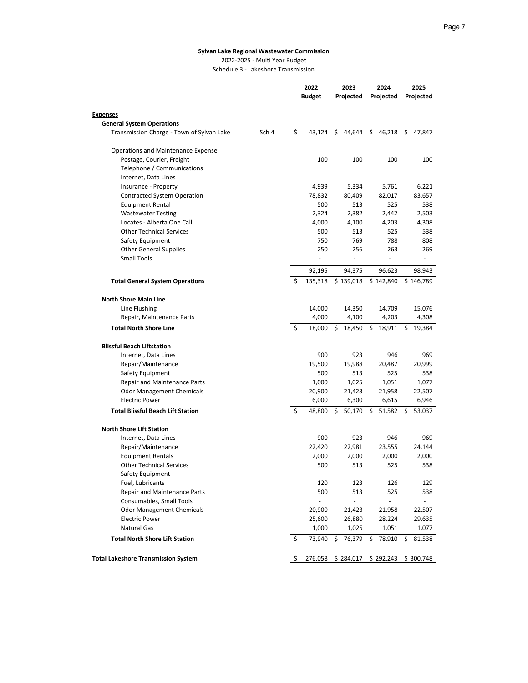2022-2025 - Multi Year Budget Schedule 3 - Lakeshore Transmission

|                                            |       |     | 2022<br><b>Budget</b> | 2023<br>Projected        | 2024<br>Projected | 2025<br>Projected        |
|--------------------------------------------|-------|-----|-----------------------|--------------------------|-------------------|--------------------------|
|                                            |       |     |                       |                          |                   |                          |
| <b>Expenses</b>                            |       |     |                       |                          |                   |                          |
| <b>General System Operations</b>           |       |     |                       |                          |                   |                          |
| Transmission Charge - Town of Sylvan Lake  | Sch 4 | -\$ | 43,124                | \$<br>44.644             | \$<br>46,218      | \$47,847                 |
| Operations and Maintenance Expense         |       |     |                       |                          |                   |                          |
| Postage, Courier, Freight                  |       |     | 100                   | 100                      | 100               | 100                      |
| Telephone / Communications                 |       |     |                       |                          |                   |                          |
| Internet, Data Lines                       |       |     |                       |                          |                   |                          |
| Insurance - Property                       |       |     | 4,939                 | 5,334                    | 5,761             | 6,221                    |
| <b>Contracted System Operation</b>         |       |     | 78,832                | 80,409                   | 82,017            | 83,657                   |
| <b>Equipment Rental</b>                    |       |     | 500                   | 513                      | 525               | 538                      |
| <b>Wastewater Testing</b>                  |       |     | 2,324                 | 2,382                    | 2,442             | 2,503                    |
| Locates - Alberta One Call                 |       |     | 4,000                 | 4,100                    | 4,203             | 4,308                    |
| <b>Other Technical Services</b>            |       |     | 500                   | 513                      | 525               | 538                      |
| Safety Equipment                           |       |     | 750                   | 769                      | 788               | 808                      |
| <b>Other General Supplies</b>              |       |     | 250                   | 256                      | 263               | 269                      |
| <b>Small Tools</b>                         |       |     |                       | $\frac{1}{2}$            | ÷,                |                          |
|                                            |       |     | 92,195                | 94,375                   | 96,623            | 98,943                   |
| <b>Total General System Operations</b>     |       | \$  | 135,318               | \$139,018                | \$142,840         | \$146,789                |
| <b>North Shore Main Line</b>               |       |     |                       |                          |                   |                          |
| Line Flushing                              |       |     | 14,000                | 14,350                   | 14,709            | 15,076                   |
| Repair, Maintenance Parts                  |       |     | 4,000                 | 4,100                    | 4,203             | 4,308                    |
| <b>Total North Shore Line</b>              |       | \$  | 18,000                | \$.<br>18,450            | \$<br>18,911      | \$<br>19,384             |
| <b>Blissful Beach Liftstation</b>          |       |     |                       |                          |                   |                          |
| Internet, Data Lines                       |       |     | 900                   | 923                      | 946               | 969                      |
| Repair/Maintenance                         |       |     | 19,500                | 19,988                   | 20,487            | 20,999                   |
| Safety Equipment                           |       |     | 500                   | 513                      | 525               | 538                      |
| <b>Repair and Maintenance Parts</b>        |       |     | 1,000                 | 1,025                    | 1,051             | 1,077                    |
| <b>Odor Management Chemicals</b>           |       |     | 20,900                | 21,423                   | 21,958            | 22,507                   |
| <b>Electric Power</b>                      |       |     | 6,000                 | 6,300                    | 6,615             | 6,946                    |
| <b>Total Blissful Beach Lift Station</b>   |       | \$  | 48,800                | \$<br>50,170             | \$.<br>51,582     | S<br>53,037              |
| <b>North Shore Lift Station</b>            |       |     |                       |                          |                   |                          |
| Internet, Data Lines                       |       |     | 900                   | 923                      | 946               | 969                      |
| Repair/Maintenance                         |       |     | 22,420                | 22,981                   | 23,555            | 24,144                   |
| <b>Equipment Rentals</b>                   |       |     | 2,000                 | 2,000                    | 2,000             | 2,000                    |
| <b>Other Technical Services</b>            |       |     | 500                   | 513                      | 525               | 538                      |
| Safety Equipment                           |       |     | $\frac{1}{2}$         | $\overline{\phantom{a}}$ | $\blacksquare$    | $\overline{\phantom{a}}$ |
| Fuel, Lubricants                           |       |     | 120                   | 123                      | 126               | 129                      |
| Repair and Maintenance Parts               |       |     | 500                   | 513                      | 525               | 538                      |
| Consumables, Small Tools                   |       |     |                       |                          |                   |                          |
| <b>Odor Management Chemicals</b>           |       |     | 20,900                | 21,423                   | 21,958            | 22,507                   |
| <b>Electric Power</b>                      |       |     | 25,600                | 26,880                   | 28,224            | 29,635                   |
| <b>Natural Gas</b>                         |       |     | 1,000                 | 1,025                    | 1,051             | 1,077                    |
| <b>Total North Shore Lift Station</b>      |       | \$  | 73,940                | 76,379<br>\$             | 78,910<br>\$      | \$<br>81,538             |
|                                            |       |     |                       |                          |                   |                          |
| <b>Total Lakeshore Transmission System</b> |       | \$  | 276,058               | \$284,017                | \$292,243         | \$300,748                |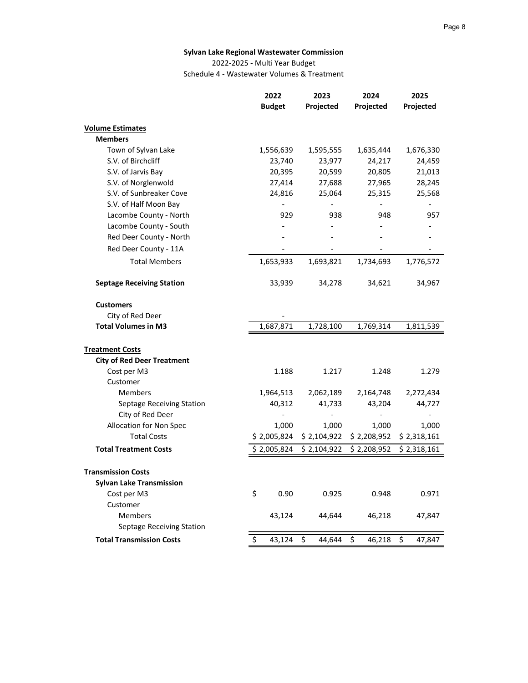2022-2025 - Multi Year Budget

Schedule 4 - Wastewater Volumes & Treatment

|                                   | 2022          | 2023         | 2024         | 2025         |
|-----------------------------------|---------------|--------------|--------------|--------------|
|                                   | <b>Budget</b> | Projected    | Projected    | Projected    |
| <b>Volume Estimates</b>           |               |              |              |              |
| <b>Members</b>                    |               |              |              |              |
| Town of Sylvan Lake               | 1,556,639     | 1,595,555    | 1,635,444    | 1,676,330    |
| S.V. of Birchcliff                | 23,740        | 23,977       | 24,217       | 24,459       |
| S.V. of Jarvis Bay                | 20,395        | 20,599       | 20,805       | 21,013       |
| S.V. of Norglenwold               | 27,414        | 27,688       | 27,965       | 28,245       |
| S.V. of Sunbreaker Cove           | 24,816        | 25,064       | 25,315       | 25,568       |
| S.V. of Half Moon Bay             |               |              |              |              |
| Lacombe County - North            | 929           | 938          | 948          | 957          |
| Lacombe County - South            |               |              |              |              |
| Red Deer County - North           |               |              |              |              |
| Red Deer County - 11A             |               |              |              |              |
| <b>Total Members</b>              | 1,653,933     | 1,693,821    | 1,734,693    | 1,776,572    |
| <b>Septage Receiving Station</b>  | 33,939        | 34,278       | 34,621       | 34,967       |
| <b>Customers</b>                  |               |              |              |              |
| City of Red Deer                  |               |              |              |              |
| <b>Total Volumes in M3</b>        | 1,687,871     | 1,728,100    | 1,769,314    | 1,811,539    |
| <b>Treatment Costs</b>            |               |              |              |              |
| <b>City of Red Deer Treatment</b> |               |              |              |              |
| Cost per M3                       | 1.188         | 1.217        | 1.248        | 1.279        |
| Customer                          |               |              |              |              |
| <b>Members</b>                    | 1,964,513     | 2,062,189    | 2,164,748    | 2,272,434    |
| Septage Receiving Station         | 40,312        | 41,733       | 43,204       | 44,727       |
| City of Red Deer                  |               |              |              |              |
| Allocation for Non Spec           | 1,000         | 1,000        | 1,000        | 1,000        |
| <b>Total Costs</b>                | \$2,005,824   | \$2,104,922  | \$2,208,952  | \$2,318,161  |
| <b>Total Treatment Costs</b>      | \$2,005,824   | \$2,104,922  | \$2,208,952  | \$2,318,161  |
| <b>Transmission Costs</b>         |               |              |              |              |
| <b>Sylvan Lake Transmission</b>   |               |              |              |              |
| Cost per M3                       | \$<br>0.90    | 0.925        | 0.948        | 0.971        |
| Customer                          |               |              |              |              |
| <b>Members</b>                    | 43,124        | 44,644       | 46,218       | 47,847       |
| Septage Receiving Station         |               |              |              |              |
| <b>Total Transmission Costs</b>   | \$<br>43,124  | \$<br>44,644 | \$<br>46,218 | \$<br>47,847 |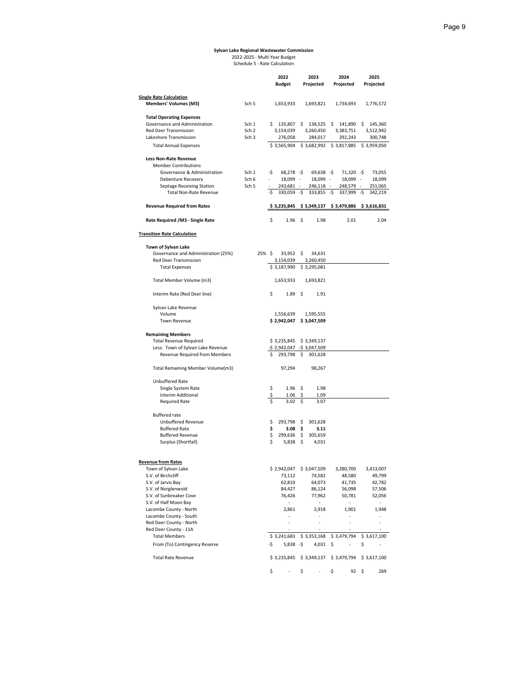# **Sylvan Lake Regional Wastewater Commission** 2022-2025 - Multi Year Budget Schedule 5 - Rate Calculation

|                                                  |                  |        |    | 2022            |      | 2023                      | 2024 |               | 2025        |
|--------------------------------------------------|------------------|--------|----|-----------------|------|---------------------------|------|---------------|-------------|
|                                                  |                  |        |    | <b>Budget</b>   |      | Projected                 |      | Projected     | Projected   |
|                                                  |                  |        |    |                 |      |                           |      |               |             |
| <b>Single Rate Calculation</b>                   |                  |        |    |                 |      |                           |      |               |             |
| <b>Members' Volumes (M3)</b>                     | Sch <sub>5</sub> |        |    | 1,653,933       |      | 1,693,821                 |      | 1,734,693     | 1,776,572   |
|                                                  |                  |        |    |                 |      |                           |      |               |             |
| <b>Total Operating Expenses</b>                  |                  |        |    |                 |      |                           |      |               |             |
| Governance and Administration                    | Sch 1            |        |    | \$135,807       | \$   | 138,525 \$                |      | 141,890 \$    | 145,360     |
| Red Deer Transmission                            | Sch <sub>2</sub> |        |    | 3,154,039       |      | 3,260,450                 |      | 3,383,751     | 3,512,942   |
| Lakeshore Transmission                           | Sch <sub>3</sub> |        |    | 276,058         |      | 284,017                   |      | 292,243       | 300,748     |
| <b>Total Annual Expenses</b>                     |                  |        |    | \$3,565,904     |      | \$3,682,992               |      | \$3,817,885   | \$3,959,050 |
|                                                  |                  |        |    |                 |      |                           |      |               |             |
| <b>Less Non-Rate Revenue</b>                     |                  |        |    |                 |      |                           |      |               |             |
| <b>Member Contributions</b>                      |                  |        |    |                 |      |                           |      |               |             |
| Governance & Administration                      | Sch 1            | -\$    |    | $68,278 - 5$    |      | $69,638 - $$              |      | 71,320 -\$    | 73,055      |
| Debenture Recovery                               | Sch 6            |        |    | 18,099 -        |      | 18,099 -                  |      | 18,099 -      | 18,099      |
| Septage Receiving Station                        | Sch <sub>5</sub> |        |    | 243,681         |      | 246,118 -                 |      | 248,579 -     | 251,065     |
| <b>Total Non-Rate Revenue</b>                    |                  | -\$    |    | $330,059 - $$   |      | $333,855 - $$             |      | $337,999 - $$ | 342,219     |
|                                                  |                  |        |    |                 |      |                           |      |               |             |
| <b>Revenue Required from Rates</b>               |                  |        |    | \$3,235,845     |      | \$3,349,137               |      | \$3,479,886   | \$3,616,831 |
| Rate Required /M3 - Single Rate                  |                  |        | \$ | $1.96 \quad$ \$ |      | 1.98                      |      | 2.01          | 2.04        |
| <b>Transition Rate Calculation</b>               |                  |        |    |                 |      |                           |      |               |             |
| Town of Sylvan Lake                              |                  |        |    |                 |      |                           |      |               |             |
| Governance and Administration (25%)              |                  | 25% \$ |    | $33,952$ \$     |      | 34,631                    |      |               |             |
| Red Deer Transmission                            |                  |        |    | 3,154,039       |      | 3,260,450                 |      |               |             |
| <b>Total Expenses</b>                            |                  |        |    | \$3,187,990     |      | \$3,295,081               |      |               |             |
|                                                  |                  |        |    |                 |      |                           |      |               |             |
| Total Member Volume (m3)                         |                  |        |    | 1,653,933       |      | 1,693,821                 |      |               |             |
| Interim Rate (Red Deer line)                     |                  |        | \$ | $1.89$ \$       |      | 1.91                      |      |               |             |
| Sylvan Lake Revenue                              |                  |        |    |                 |      |                           |      |               |             |
| Volume                                           |                  |        |    | 1,556,639       |      | 1,595,555                 |      |               |             |
| Town Revenue                                     |                  |        |    | \$2,942,047     |      | \$3,047,509               |      |               |             |
|                                                  |                  |        |    |                 |      |                           |      |               |             |
| <b>Remaining Members</b>                         |                  |        |    |                 |      |                           |      |               |             |
| <b>Total Revenue Required</b>                    |                  |        |    | \$3,235,845     |      | \$3,349,137               |      |               |             |
| Less: Town of Sylvan Lake Revenue                |                  |        |    | $-52,942,047$   |      | $-5$ 3,047,509            |      |               |             |
| Revenue Required from Members                    |                  |        | \$ | 293,798         | \$   | 301,628                   |      |               |             |
| Total Remaining Member Volume(m3)                |                  |        |    | 97,294          |      | 98,267                    |      |               |             |
| Unbuffered Rate                                  |                  |        |    |                 |      |                           |      |               |             |
| Single System Rate                               |                  |        | \$ | 1.96            | -\$  | 1.98                      |      |               |             |
| Interim Additional                               |                  |        | \$ | 1.06            | \$   | 1.09                      |      |               |             |
| <b>Required Rate</b>                             |                  |        |    | 3.02            | \$   | 3.07                      |      |               |             |
|                                                  |                  |        |    |                 |      |                           |      |               |             |
| <b>Buffered rate</b>                             |                  |        |    |                 |      |                           |      |               |             |
| Unbuffered Revenue                               |                  |        | \$ | 293,798 \$      |      | 301,628                   |      |               |             |
| <b>Buffered Rate</b>                             |                  |        | \$ | 3.08            | - \$ | 3.11                      |      |               |             |
| <b>Buffered Revenue</b>                          |                  |        | \$ | 299,636         | \$   | 305,659                   |      |               |             |
| Surplus (Shortfall)                              |                  |        | \$ | 5,838           | \$.  | 4,031                     |      |               |             |
|                                                  |                  |        |    |                 |      |                           |      |               |             |
| <b>Revenue from Rates</b><br>Town of Sylvan Lake |                  |        |    | \$2,942,047     |      | \$3,047,509               |      | 3,280,700     | 3,413,007   |
| S.V. of Birchcliff                               |                  |        |    | 73,112          |      | 74,582                    |      | 48,580        | 49,799      |
| S.V. of Jarvis Bay                               |                  |        |    | 62,810          |      | 64,073                    |      | 41,735        | 42,782      |
| S.V. of Norglenwold                              |                  |        |    | 84,427          |      | 86,124                    |      | 56,098        | 57,506      |
| S.V. of Sunbreaker Cove                          |                  |        |    | 76,426          |      | 77,962                    |      | 50,781        |             |
| S.V. of Half Moon Bay                            |                  |        |    |                 |      |                           |      |               | 52,056      |
| Lacombe County - North                           |                  |        |    | 2,861           |      | 2,918                     |      | 1,901         | 1,948       |
|                                                  |                  |        |    | ä,              |      | ÷                         |      | ÷             |             |
| Lacombe County - South                           |                  |        |    | ä,              |      | ÷,                        |      | i,            | ä,          |
| Red Deer County - North                          |                  |        |    | ä,              |      | ×,                        |      | ÷,            |             |
| Red Deer County - 11A                            |                  |        |    |                 |      |                           |      |               |             |
| <b>Total Members</b>                             |                  |        |    | \$3,241,683     |      | \$3,353,168               |      | \$3,479,794   | \$3,617,100 |
| From (To) Contingency Reserve                    |                  | -\$    |    | 5,838           | -\$  | 4,031                     | \$   |               | \$          |
| <b>Total Rate Revenue</b>                        |                  |        |    | \$3,235,845     |      | $$3,349,137$ $$3,479,794$ |      |               | \$3,617,100 |
|                                                  |                  |        | \$ | ÷               | \$   | ÷                         | -\$  | $92 \quad$ \$ | 269         |